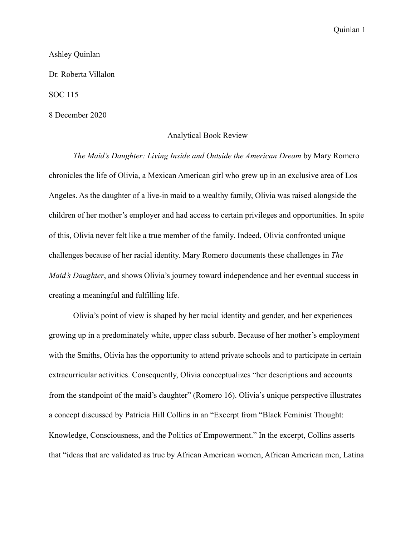Ashley Quinlan

Dr. Roberta Villalon

SOC 115

8 December 2020

## Analytical Book Review

 *The Maid's Daughter: Living Inside and Outside the American Dream* by Mary Romero chronicles the life of Olivia, a Mexican American girl who grew up in an exclusive area of Los Angeles. As the daughter of a live-in maid to a wealthy family, Olivia was raised alongside the children of her mother's employer and had access to certain privileges and opportunities. In spite of this, Olivia never felt like a true member of the family. Indeed, Olivia confronted unique challenges because of her racial identity. Mary Romero documents these challenges in *The Maid's Daughter*, and shows Olivia's journey toward independence and her eventual success in creating a meaningful and fulfilling life.

 Olivia's point of view is shaped by her racial identity and gender, and her experiences growing up in a predominately white, upper class suburb. Because of her mother's employment with the Smiths, Olivia has the opportunity to attend private schools and to participate in certain extracurricular activities. Consequently, Olivia conceptualizes "her descriptions and accounts from the standpoint of the maid's daughter" (Romero 16). Olivia's unique perspective illustrates a concept discussed by Patricia Hill Collins in an "Excerpt from "Black Feminist Thought: Knowledge, Consciousness, and the Politics of Empowerment." In the excerpt, Collins asserts that "ideas that are validated as true by African American women, African American men, Latina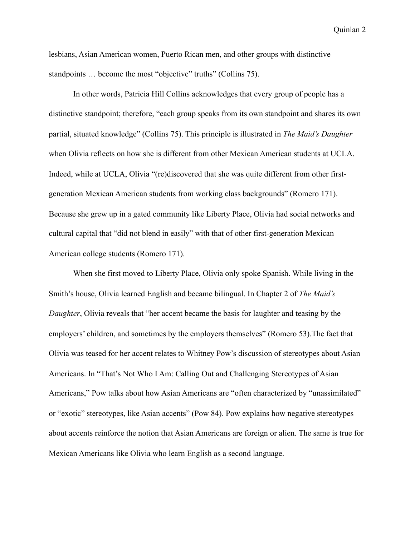lesbians, Asian American women, Puerto Rican men, and other groups with distinctive standpoints ... become the most "objective" truths" (Collins 75).

 In other words, Patricia Hill Collins acknowledges that every group of people has a distinctive standpoint; therefore, "each group speaks from its own standpoint and shares its own partial, situated knowledge" (Collins 75). This principle is illustrated in *The Maid's Daughter* when Olivia reflects on how she is different from other Mexican American students at UCLA. Indeed, while at UCLA, Olivia "(re)discovered that she was quite different from other firstgeneration Mexican American students from working class backgrounds" (Romero 171). Because she grew up in a gated community like Liberty Place, Olivia had social networks and cultural capital that "did not blend in easily" with that of other first-generation Mexican American college students (Romero 171).

 When she first moved to Liberty Place, Olivia only spoke Spanish. While living in the Smith's house, Olivia learned English and became bilingual. In Chapter 2 of *The Maid's Daughter*, Olivia reveals that "her accent became the basis for laughter and teasing by the employers' children, and sometimes by the employers themselves" (Romero 53).The fact that Olivia was teased for her accent relates to Whitney Pow's discussion of stereotypes about Asian Americans. In "That's Not Who I Am: Calling Out and Challenging Stereotypes of Asian Americans," Pow talks about how Asian Americans are "often characterized by "unassimilated" or "exotic" stereotypes, like Asian accents" (Pow 84). Pow explains how negative stereotypes about accents reinforce the notion that Asian Americans are foreign or alien. The same is true for Mexican Americans like Olivia who learn English as a second language.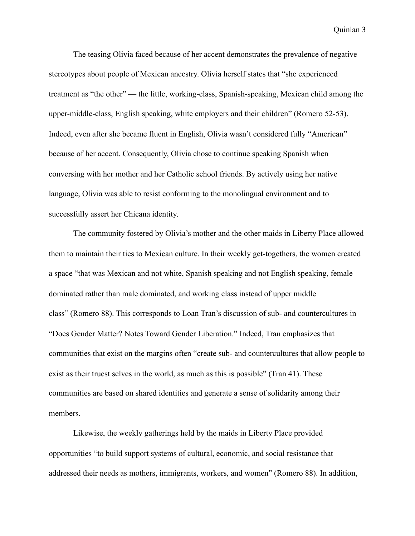The teasing Olivia faced because of her accent demonstrates the prevalence of negative stereotypes about people of Mexican ancestry. Olivia herself states that "she experienced treatment as "the other" — the little, working-class, Spanish-speaking, Mexican child among the upper-middle-class, English speaking, white employers and their children" (Romero 52-53). Indeed, even after she became fluent in English, Olivia wasn't considered fully "American" because of her accent. Consequently, Olivia chose to continue speaking Spanish when conversing with her mother and her Catholic school friends. By actively using her native language, Olivia was able to resist conforming to the monolingual environment and to successfully assert her Chicana identity.

 The community fostered by Olivia's mother and the other maids in Liberty Place allowed them to maintain their ties to Mexican culture. In their weekly get-togethers, the women created a space "that was Mexican and not white, Spanish speaking and not English speaking, female dominated rather than male dominated, and working class instead of upper middle class" (Romero 88). This corresponds to Loan Tran's discussion of sub- and countercultures in "Does Gender Matter? Notes Toward Gender Liberation." Indeed, Tran emphasizes that communities that exist on the margins often "create sub- and countercultures that allow people to exist as their truest selves in the world, as much as this is possible" (Tran 41). These communities are based on shared identities and generate a sense of solidarity among their members.

 Likewise, the weekly gatherings held by the maids in Liberty Place provided opportunities "to build support systems of cultural, economic, and social resistance that addressed their needs as mothers, immigrants, workers, and women" (Romero 88). In addition,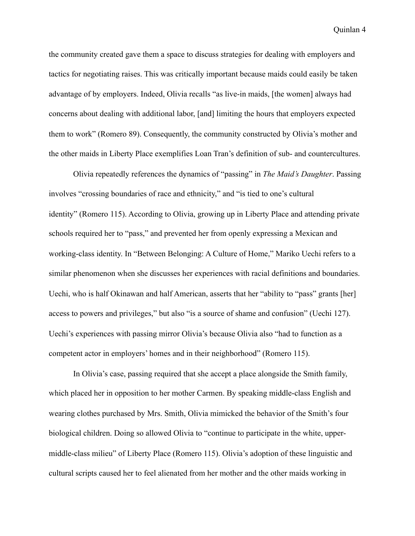the community created gave them a space to discuss strategies for dealing with employers and tactics for negotiating raises. This was critically important because maids could easily be taken advantage of by employers. Indeed, Olivia recalls "as live-in maids, [the women] always had concerns about dealing with additional labor, [and] limiting the hours that employers expected them to work" (Romero 89). Consequently, the community constructed by Olivia's mother and the other maids in Liberty Place exemplifies Loan Tran's definition of sub- and countercultures.

 Olivia repeatedly references the dynamics of "passing" in *The Maid's Daughter*. Passing involves "crossing boundaries of race and ethnicity," and "is tied to one's cultural identity" (Romero 115). According to Olivia, growing up in Liberty Place and attending private schools required her to "pass," and prevented her from openly expressing a Mexican and working-class identity. In "Between Belonging: A Culture of Home," Mariko Uechi refers to a similar phenomenon when she discusses her experiences with racial definitions and boundaries. Uechi, who is half Okinawan and half American, asserts that her "ability to "pass" grants [her] access to powers and privileges," but also "is a source of shame and confusion" (Uechi 127). Uechi's experiences with passing mirror Olivia's because Olivia also "had to function as a competent actor in employers' homes and in their neighborhood" (Romero 115).

 In Olivia's case, passing required that she accept a place alongside the Smith family, which placed her in opposition to her mother Carmen. By speaking middle-class English and wearing clothes purchased by Mrs. Smith, Olivia mimicked the behavior of the Smith's four biological children. Doing so allowed Olivia to "continue to participate in the white, uppermiddle-class milieu" of Liberty Place (Romero 115). Olivia's adoption of these linguistic and cultural scripts caused her to feel alienated from her mother and the other maids working in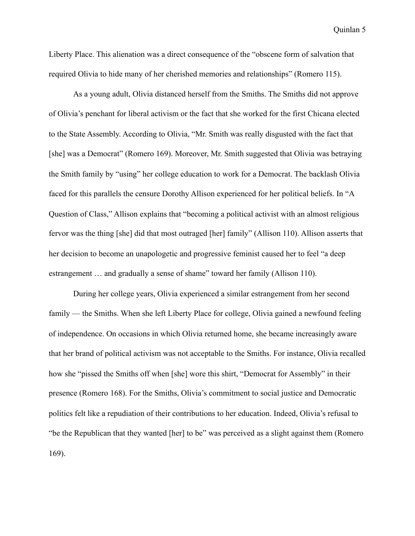Liberty Place. This alienation was a direct consequence of the "obscene form of salvation that required Olivia to hide many of her cherished memories and relationships" (Romero 115).

 As a young adult, Olivia distanced herself from the Smiths. The Smiths did not approve of Olivia's penchant for liberal activism or the fact that she worked for the first Chicana elected to the State Assembly. According to Olivia, "Mr. Smith was really disgusted with the fact that [she] was a Democrat" (Romero 169). Moreover, Mr. Smith suggested that Olivia was betraying the Smith family by "using" her college education to work for a Democrat. The backlash Olivia faced for this parallels the censure Dorothy Allison experienced for her political beliefs. In "A Question of Class," Allison explains that "becoming a political activist with an almost religious fervor was the thing [she] did that most outraged [her] family" (Allison 110). Allison asserts that her decision to become an unapologetic and progressive feminist caused her to feel "a deep estrangement … and gradually a sense of shame" toward her family (Allison 110).

 During her college years, Olivia experienced a similar estrangement from her second family — the Smiths. When she left Liberty Place for college, Olivia gained a newfound feeling of independence. On occasions in which Olivia returned home, she became increasingly aware that her brand of political activism was not acceptable to the Smiths. For instance, Olivia recalled how she "pissed the Smiths off when [she] wore this shirt, "Democrat for Assembly" in their presence (Romero 168). For the Smiths, Olivia's commitment to social justice and Democratic politics felt like a repudiation of their contributions to her education. Indeed, Olivia's refusal to "be the Republican that they wanted [her] to be" was perceived as a slight against them (Romero 169).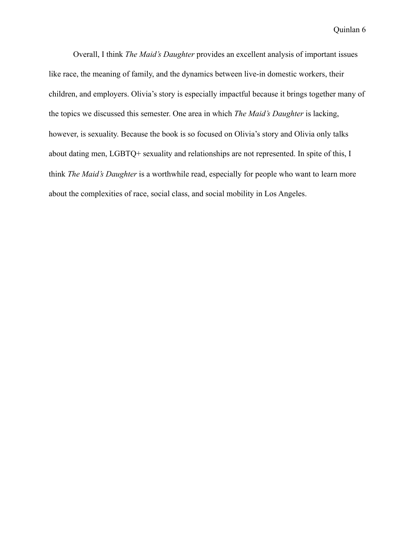Overall, I think *The Maid's Daughter* provides an excellent analysis of important issues like race, the meaning of family, and the dynamics between live-in domestic workers, their children, and employers. Olivia's story is especially impactful because it brings together many of the topics we discussed this semester. One area in which *The Maid's Daughter* is lacking, however, is sexuality. Because the book is so focused on Olivia's story and Olivia only talks about dating men, LGBTQ+ sexuality and relationships are not represented. In spite of this, I think *The Maid's Daughter* is a worthwhile read, especially for people who want to learn more about the complexities of race, social class, and social mobility in Los Angeles.